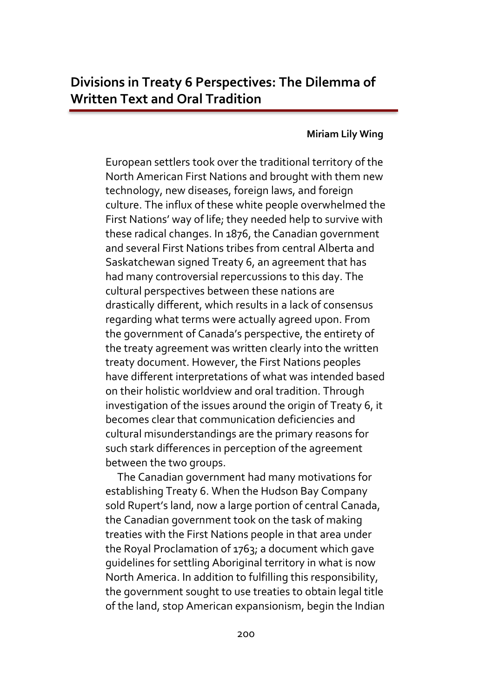## **Miriam Lily Wing**

European settlers took over the traditional territory of the North American First Nations and brought with them new technology, new diseases, foreign laws, and foreign culture. The influx of these white people overwhelmed the First Nations' way of life; they needed help to survive with these radical changes. In 1876, the Canadian government and several First Nations tribes from central Alberta and Saskatchewan signed Treaty 6, an agreement that has had many controversial repercussions to this day. The cultural perspectives between these nations are drastically different, which results in a lack of consensus regarding what terms were actually agreed upon. From the government of Canada's perspective, the entirety of the treaty agreement was written clearly into the written treaty document. However, the First Nations peoples have different interpretations of what was intended based on their holistic worldview and oral tradition. Through investigation of the issues around the origin of Treaty 6, it becomes clear that communication deficiencies and cultural misunderstandings are the primary reasons for such stark differences in perception of the agreement between the two groups.

 The Canadian government had many motivations for establishing Treaty 6. When the Hudson Bay Company sold Rupert's land, now a large portion of central Canada, the Canadian government took on the task of making treaties with the First Nations people in that area under the Royal Proclamation of 1763; a document which gave guidelines for settling Aboriginal territory in what is now North America. In addition to fulfilling this responsibility, the government sought to use treaties to obtain legal title of the land, stop American expansionism, begin the Indian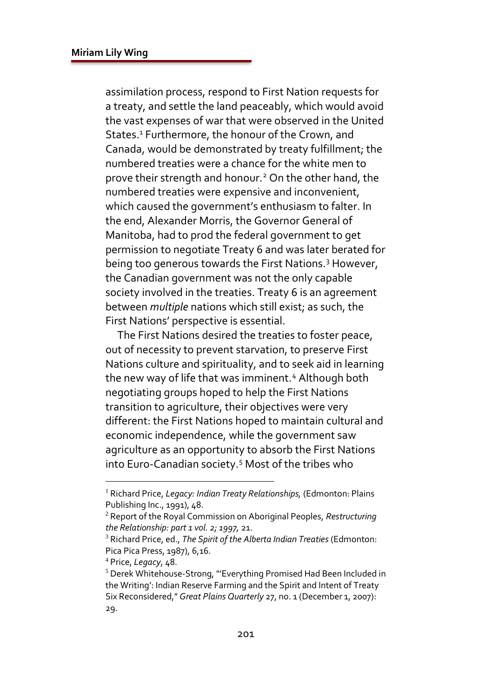assimilation process, respond to First Nation requests for a treaty, and settle the land peaceably, which would avoid the vast expenses of war that were observed in the United States.<sup>1</sup> Furthermore, the honour of the Crown, and Canada, would be demonstrated by treaty fulfillment; the numbered treaties were a chance for the white men to prove their strength and honour.<sup>2</sup> On the other hand, the numbered treaties were expensive and inconvenient, which caused the government's enthusiasm to falter. In the end, Alexander Morris, the Governor General of Manitoba, had to prod the federal government to get permission to negotiate Treaty 6 and was later berated for being too generous towards the First Nations.<sup>3</sup> However, the Canadian government was not the only capable society involved in the treaties. Treaty 6 is an agreement between *multiple* nations which still exist; as such, the First Nations' perspective is essential.

 The First Nations desired the treaties to foster peace, out of necessity to prevent starvation, to preserve First Nations culture and spirituality, and to seek aid in learning the new way of life that was imminent.<sup>4</sup> Although both negotiating groups hoped to help the First Nations transition to agriculture, their objectives were very different: the First Nations hoped to maintain cultural and economic independence, while the government saw agriculture as an opportunity to absorb the First Nations into Euro-Canadian society.<sup>5</sup> Most of the tribes who

<sup>1</sup> Richard Price, *Legacy: Indian Treaty Relationships,* (Edmonton: Plains Publishing Inc., 1991), 48.

<sup>2</sup> Report of the Royal Commission on Aboriginal Peoples, *Restructuring the Relationship: part 1 vol. 2; 1997,* 21.

<sup>3</sup> Richard Price, ed., *The Spirit of the Alberta Indian Treaties* (Edmonton: Pica Pica Press, 1987), 6,16.

<sup>4</sup> Price, *Legacy*, 48.

<sup>5</sup> Derek Whitehouse-Strong, "'Everything Promised Had Been Included in the Writing': Indian Reserve Farming and the Spirit and Intent of Treaty Six Reconsidered," Great Plains Quarterly 27, no. 1 (December 1, 2007): 29.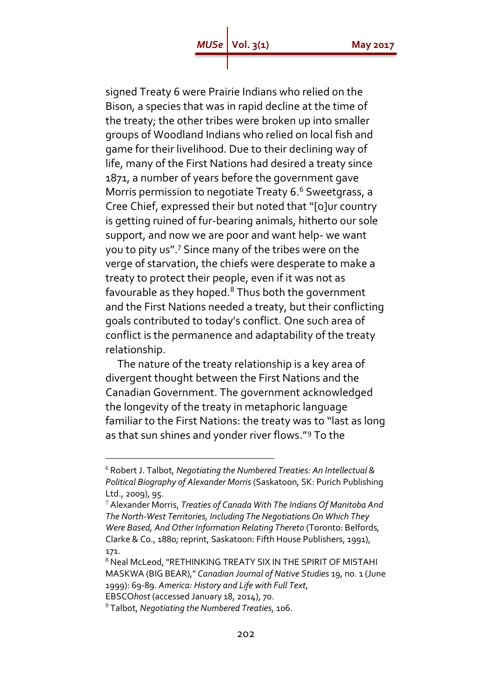signed Treaty 6 were Prairie Indians who relied on the Bison, a species that was in rapid decline at the time of the treaty; the other tribes were broken up into smaller groups of Woodland Indians who relied on local fish and game for their livelihood. Due to their declining way of life, many of the First Nations had desired a treaty since 1871, a number of years before the government gave Morris permission to negotiate Treaty 6.<sup>6</sup> Sweetgrass, a Cree Chief, expressed their but noted that "[o]ur country is getting ruined of fur-bearing animals, hitherto our sole support, and now we are poor and want help- we want you to pity us".<sup>7</sup> Since many of the tribes were on the verge of starvation, the chiefs were desperate to make a treaty to protect their people, even if it was not as favourable as they hoped.<sup>8</sup> Thus both the government and the First Nations needed a treaty, but their conflicting goals contributed to today's conflict. One such area of conflict is the permanence and adaptability of the treaty relationship.

 The nature of the treaty relationship is a key area of divergent thought between the First Nations and the Canadian Government. The government acknowledged the longevity of the treaty in metaphoric language familiar to the First Nations: the treaty was to "last as long as that sun shines and yonder river flows."<sup>9</sup> To the

 $\overline{a}$ 

<sup>6</sup> Robert J. Talbot, *Negotiating the Numbered Treaties: An Intellectual & Political Biography of Alexander Morris* (Saskatoon, SK: Purich Publishing Ltd., 2009), 95.

<sup>7</sup> Alexander Morris, *Treaties of Canada With The Indians Of Manitoba And The North-West Territories, Including The Negotiations On Which They Were Based, And Other Information Relating Thereto* (Toronto: Belfords, Clarke & Co., 1880; reprint, Saskatoon: Fifth House Publishers, 1991), 171.

<sup>8</sup> Neal McLeod, "RETHINKING TREATY SIX IN THE SPIRIT OF MISTAHI MASKWA (BIG BEAR)," *Canadian Journal of Native Studies* 19, no. 1 (June 1999): 69-89. *America: History and Life with Full Text*,

EBSCO*host* (accessed January 18, 2014), 70.

<sup>9</sup> Talbot, *Negotiating the Numbered Treaties,* 106.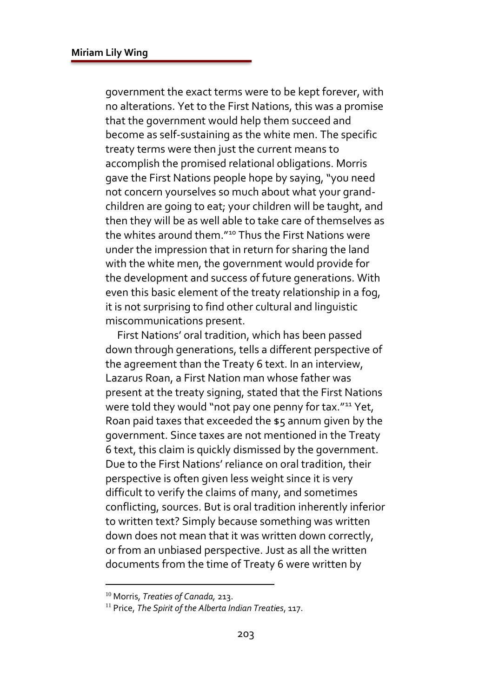government the exact terms were to be kept forever, with no alterations. Yet to the First Nations, this was a promise that the government would help them succeed and become as self-sustaining as the white men. The specific treaty terms were then just the current means to accomplish the promised relational obligations. Morris gave the First Nations people hope by saying, "you need not concern yourselves so much about what your grandchildren are going to eat; your children will be taught, and then they will be as well able to take care of themselves as the whites around them."<sup>10</sup> Thus the First Nations were under the impression that in return for sharing the land with the white men, the government would provide for the development and success of future generations. With even this basic element of the treaty relationship in a fog, it is not surprising to find other cultural and linguistic miscommunications present.

 First Nations' oral tradition, which has been passed down through generations, tells a different perspective of the agreement than the Treaty 6 text. In an interview, Lazarus Roan, a First Nation man whose father was present at the treaty signing, stated that the First Nations were told they would "not pay one penny for tax."<sup>11</sup> Yet, Roan paid taxes that exceeded the \$5 annum given by the government. Since taxes are not mentioned in the Treaty 6 text, this claim is quickly dismissed by the government. Due to the First Nations' reliance on oral tradition, their perspective is often given less weight since it is very difficult to verify the claims of many, and sometimes conflicting, sources. But is oral tradition inherently inferior to written text? Simply because something was written down does not mean that it was written down correctly, or from an unbiased perspective. Just as all the written documents from the time of Treaty 6 were written by

<sup>10</sup> Morris, *Treaties of Canada,* 213.

<sup>11</sup> Price, *The Spirit of the Alberta Indian Treaties*, 117.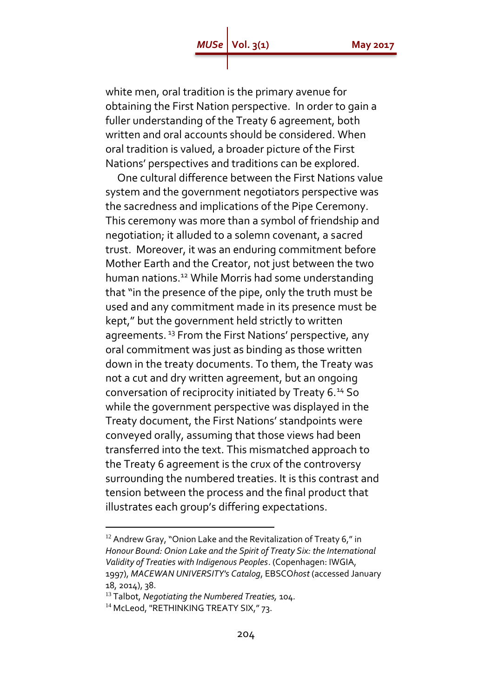## **Vol. 3(1)** May 2017

white men, oral tradition is the primary avenue for obtaining the First Nation perspective. In order to gain a fuller understanding of the Treaty 6 agreement, both written and oral accounts should be considered. When oral tradition is valued, a broader picture of the First Nations' perspectives and traditions can be explored.

 One cultural difference between the First Nations value system and the government negotiators perspective was the sacredness and implications of the Pipe Ceremony. This ceremony was more than a symbol of friendship and negotiation; it alluded to a solemn covenant, a sacred trust. Moreover, it was an enduring commitment before Mother Earth and the Creator, not just between the two human nations.<sup>12</sup> While Morris had some understanding that "in the presence of the pipe, only the truth must be used and any commitment made in its presence must be kept," but the government held strictly to written agreements.<sup>13</sup> From the First Nations' perspective, any oral commitment was just as binding as those written down in the treaty documents. To them, the Treaty was not a cut and dry written agreement, but an ongoing conversation of reciprocity initiated by Treaty 6.<sup>14</sup> So while the government perspective was displayed in the Treaty document, the First Nations' standpoints were conveyed orally, assuming that those views had been transferred into the text. This mismatched approach to the Treaty 6 agreement is the crux of the controversy surrounding the numbered treaties. It is this contrast and tension between the process and the final product that illustrates each group's differing expectations.

 $\overline{a}$ 

<sup>&</sup>lt;sup>12</sup> Andrew Gray, "Onion Lake and the Revitalization of Treaty 6," in *Honour Bound: Onion Lake and the Spirit of Treaty Six: the International Validity of Treaties with Indigenous Peoples*. (Copenhagen: IWGIA, 1997), *MACEWAN UNIVERSITY's Catalog*, EBSCO*host* (accessed January 18, 2014), 38.

<sup>13</sup> Talbot, *Negotiating the Numbered Treaties,* 104.

<sup>&</sup>lt;sup>14</sup> McLeod, "RETHINKING TREATY SIX," 73.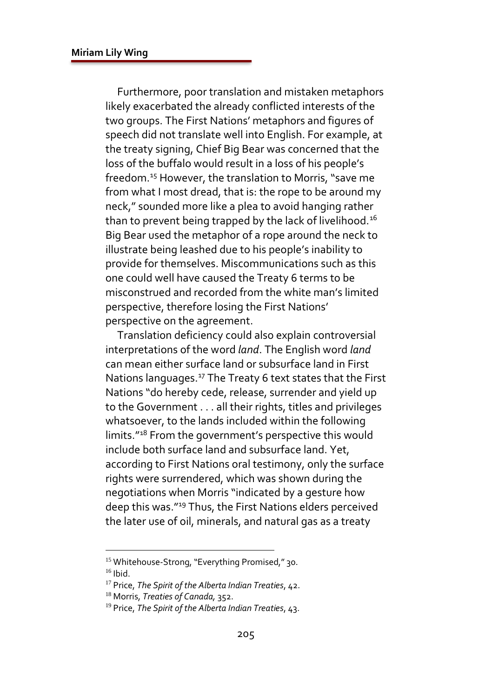Furthermore, poor translation and mistaken metaphors likely exacerbated the already conflicted interests of the two groups. The First Nations' metaphors and figures of speech did not translate well into English. For example, at the treaty signing, Chief Big Bear was concerned that the loss of the buffalo would result in a loss of his people's freedom.<sup>15</sup> However, the translation to Morris, "save me from what I most dread, that is: the rope to be around my neck," sounded more like a plea to avoid hanging rather than to prevent being trapped by the lack of livelihood.<sup>16</sup> Big Bear used the metaphor of a rope around the neck to illustrate being leashed due to his people's inability to provide for themselves. Miscommunications such as this one could well have caused the Treaty 6 terms to be misconstrued and recorded from the white man's limited perspective, therefore losing the First Nations' perspective on the agreement.

 Translation deficiency could also explain controversial interpretations of the word *land*. The English word *land* can mean either surface land or subsurface land in First Nations languages.<sup>17</sup> The Treaty 6 text states that the First Nations "do hereby cede, release, surrender and yield up to the Government . . . all their rights, titles and privileges whatsoever, to the lands included within the following limits."<sup>18</sup> From the government's perspective this would include both surface land and subsurface land. Yet, according to First Nations oral testimony, only the surface rights were surrendered, which was shown during the negotiations when Morris "indicated by a gesture how deep this was."<sup>19</sup> Thus, the First Nations elders perceived the later use of oil, minerals, and natural gas as a treaty

<sup>&</sup>lt;sup>15</sup> Whitehouse-Strong, "Everything Promised," 30.  $16$  Ibid.

<sup>17</sup> Price, *The Spirit of the Alberta Indian Treaties*, 42.

<sup>18</sup> Morris, *Treaties of Canada,* 352.

<sup>19</sup> Price, *The Spirit of the Alberta Indian Treaties*, 43.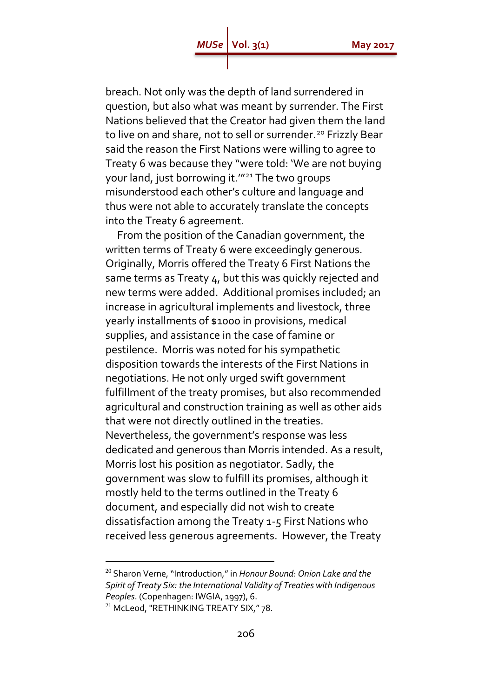breach. Not only was the depth of land surrendered in question, but also what was meant by surrender. The First Nations believed that the Creator had given them the land to live on and share, not to sell or surrender.<sup>20</sup> Frizzly Bear said the reason the First Nations were willing to agree to Treaty 6 was because they "were told: 'We are not buying your land, just borrowing it.'"<sup>21</sup> The two groups misunderstood each other's culture and language and thus were not able to accurately translate the concepts into the Treaty 6 agreement.

 From the position of the Canadian government, the written terms of Treaty 6 were exceedingly generous. Originally, Morris offered the Treaty 6 First Nations the same terms as Treaty 4, but this was quickly rejected and new terms were added. Additional promises included; an increase in agricultural implements and livestock, three yearly installments of \$1000 in provisions, medical supplies, and assistance in the case of famine or pestilence. Morris was noted for his sympathetic disposition towards the interests of the First Nations in negotiations. He not only urged swift government fulfillment of the treaty promises, but also recommended agricultural and construction training as well as other aids that were not directly outlined in the treaties. Nevertheless, the government's response was less dedicated and generous than Morris intended. As a result, Morris lost his position as negotiator. Sadly, the government was slow to fulfill its promises, although it mostly held to the terms outlined in the Treaty 6 document, and especially did not wish to create dissatisfaction among the Treaty 1-5 First Nations who received less generous agreements. However, the Treaty

<sup>20</sup> Sharon Verne, "Introduction," in *Honour Bound: Onion Lake and the Spirit of Treaty Six: the International Validity of Treaties with Indigenous Peoples*. (Copenhagen: IWGIA, 1997), 6.

<sup>&</sup>lt;sup>21</sup> McLeod, "RETHINKING TREATY SIX," 78.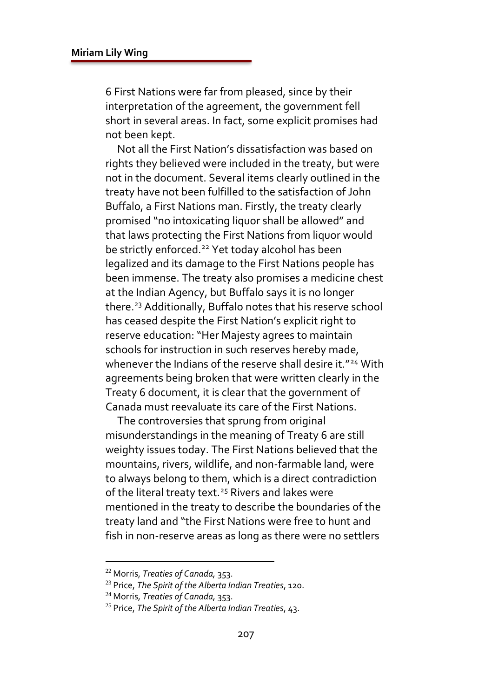6 First Nations were far from pleased, since by their interpretation of the agreement, the government fell short in several areas. In fact, some explicit promises had not been kept.

 Not all the First Nation's dissatisfaction was based on rights they believed were included in the treaty, but were not in the document. Several items clearly outlined in the treaty have not been fulfilled to the satisfaction of John Buffalo, a First Nations man. Firstly, the treaty clearly promised "no intoxicating liquor shall be allowed" and that laws protecting the First Nations from liquor would be strictly enforced.<sup>22</sup> Yet today alcohol has been legalized and its damage to the First Nations people has been immense. The treaty also promises a medicine chest at the Indian Agency, but Buffalo says it is no longer there.<sup>23</sup> Additionally, Buffalo notes that his reserve school has ceased despite the First Nation's explicit right to reserve education: "Her Majesty agrees to maintain schools for instruction in such reserves hereby made, whenever the Indians of the reserve shall desire it.<sup>"24</sup> With agreements being broken that were written clearly in the Treaty 6 document, it is clear that the government of Canada must reevaluate its care of the First Nations.

 The controversies that sprung from original misunderstandings in the meaning of Treaty 6 are still weighty issues today. The First Nations believed that the mountains, rivers, wildlife, and non-farmable land, were to always belong to them, which is a direct contradiction of the literal treaty text.<sup>25</sup> Rivers and lakes were mentioned in the treaty to describe the boundaries of the treaty land and "the First Nations were free to hunt and fish in non-reserve areas as long as there were no settlers

<sup>22</sup> Morris, *Treaties of Canada,* 353.

<sup>23</sup> Price, *The Spirit of the Alberta Indian Treaties*, 120.

<sup>24</sup> Morris, *Treaties of Canada,* 353.

<sup>25</sup> Price, *The Spirit of the Alberta Indian Treaties*, 43.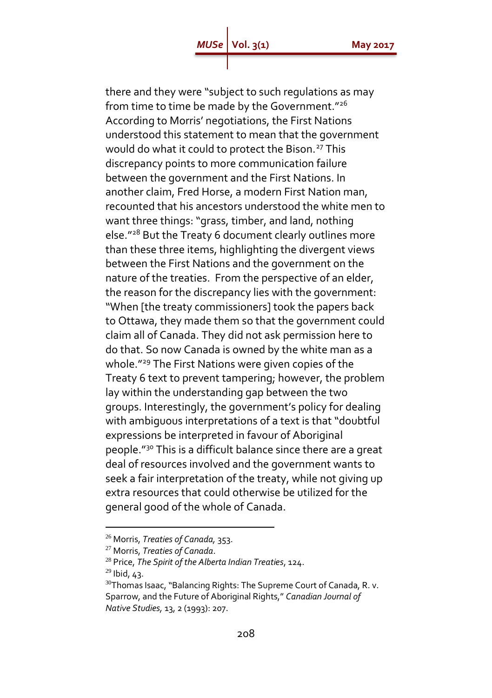there and they were "subject to such regulations as may from time to time be made by the Government."<sup>26</sup> According to Morris' negotiations, the First Nations understood this statement to mean that the government would do what it could to protect the Bison.<sup>27</sup> This discrepancy points to more communication failure between the government and the First Nations. In another claim, Fred Horse, a modern First Nation man, recounted that his ancestors understood the white men to want three things: "grass, timber, and land, nothing else."<sup>28</sup> But the Treaty 6 document clearly outlines more than these three items, highlighting the divergent views between the First Nations and the government on the nature of the treaties. From the perspective of an elder, the reason for the discrepancy lies with the government: "When [the treaty commissioners] took the papers back to Ottawa, they made them so that the government could claim all of Canada. They did not ask permission here to do that. So now Canada is owned by the white man as a whole."<sup>29</sup> The First Nations were given copies of the Treaty 6 text to prevent tampering; however, the problem lay within the understanding gap between the two groups. Interestingly, the government's policy for dealing with ambiguous interpretations of a text is that "doubtful expressions be interpreted in favour of Aboriginal people."<sup>30</sup> This is a difficult balance since there are a great deal of resources involved and the government wants to seek a fair interpretation of the treaty, while not giving up extra resources that could otherwise be utilized for the general good of the whole of Canada.

 $\overline{a}$ 

<sup>26</sup> Morris, *Treaties of Canada,* 353.

<sup>27</sup> Morris, *Treaties of Canada*.

<sup>28</sup> Price, *The Spirit of the Alberta Indian Treaties*, 124.

 $^{29}$  Ibid, 43.

<sup>&</sup>lt;sup>30</sup>Thomas Isaac, "Balancing Rights: The Supreme Court of Canada, R. v. Sparrow, and the Future of Aboriginal Rights," *Canadian Journal of Native Studies,* 13, 2 (1993): 207.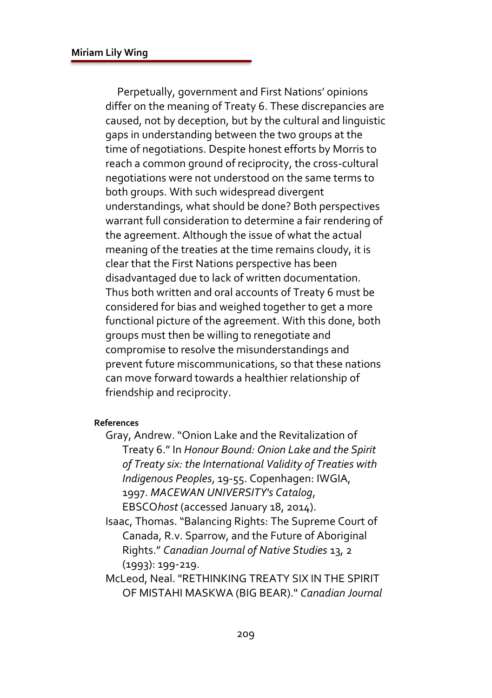Perpetually, government and First Nations' opinions differ on the meaning of Treaty 6. These discrepancies are caused, not by deception, but by the cultural and linguistic gaps in understanding between the two groups at the time of negotiations. Despite honest efforts by Morris to reach a common ground of reciprocity, the cross-cultural negotiations were not understood on the same terms to both groups. With such widespread divergent understandings, what should be done? Both perspectives warrant full consideration to determine a fair rendering of the agreement. Although the issue of what the actual meaning of the treaties at the time remains cloudy, it is clear that the First Nations perspective has been disadvantaged due to lack of written documentation. Thus both written and oral accounts of Treaty 6 must be considered for bias and weighed together to get a more functional picture of the agreement. With this done, both groups must then be willing to renegotiate and compromise to resolve the misunderstandings and prevent future miscommunications, so that these nations can move forward towards a healthier relationship of friendship and reciprocity.

## **References**

Gray, Andrew. "Onion Lake and the Revitalization of Treaty 6." In *Honour Bound: Onion Lake and the Spirit of Treaty six: the International Validity of Treaties with Indigenous Peoples*, 19-55. Copenhagen: IWGIA, 1997. *MACEWAN UNIVERSITY's Catalog*, EBSCO*host* (accessed January 18, 2014).

Isaac, Thomas. "Balancing Rights: The Supreme Court of Canada, R.v. Sparrow, and the Future of Aboriginal Rights." *Canadian Journal of Native Studies* 13, 2 (1993): 199-219.

McLeod, Neal. "RETHINKING TREATY SIX IN THE SPIRIT OF MISTAHI MASKWA (BIG BEAR)." *Canadian Journal*